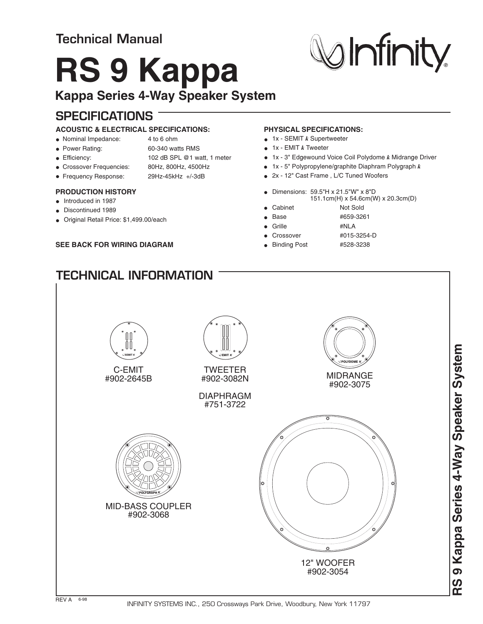## **Technical Manual**

# **RS 9 Kappa**

### **Kappa Series 4-Way Speaker System**

## **SPECIFICATIONS**

#### **ACOUSTIC & ELECTRICAL SPECIFICATIONS:**

- Nominal Impedance: 4 to 6 ohm
- 
- 
- Power Rating: 60-340 watts RMS
- Efficiency: 102 dB SPL @1 watt, 1 meter
- Crossover Frequencies: 80Hz, 800Hz, 4500Hz
- Frequency Response: 29Hz-45kHz +/-3dB

#### **PRODUCTION HISTORY**

- $\bullet$  Introduced in 1987
- **Discontinued 1989**
- Original Retail Price: \$1,499.00/each

#### **SEE BACK FOR WIRING DIAGRAM**

**TECHNICAL INFORMATION**

#### **PHYSICAL SPECIFICATIONS:**

- 1x SEMIT k Supertweeter
- 1x EMIT *k* Tweeter
- 1x 3" Edgewound Voice Coil Polydome k Midrange Driver
- 1x 5" Polypropylene/graphite Diaphram Polygraph *k*
- 2x 12" Cast Frame , L/C Tuned Woofers
- Dimensions: 59.5"H x 21.5"W" x 8"D
- m(H) x 54.6cm(W) x 20.3cm(D) • Cabinet Not Sold
- - Base #659-3261
	- Grille #NLA
	- Crossover #015-3254-D
- Binding Post #528-3238
-